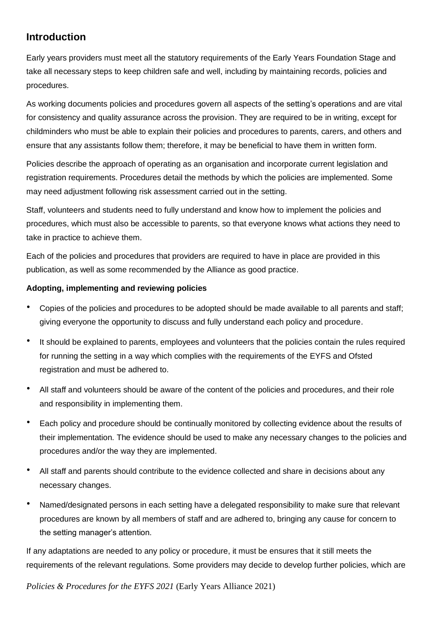# **Introduction**

Early years providers must meet all the statutory requirements of the Early Years Foundation Stage and take all necessary steps to keep children safe and well, including by maintaining records, policies and procedures.

As working documents policies and procedures govern all aspects of the setting's operations and are vital for consistency and quality assurance across the provision. They are required to be in writing, except for childminders who must be able to explain their policies and procedures to parents, carers, and others and ensure that any assistants follow them; therefore, it may be beneficial to have them in written form.

Policies describe the approach of operating as an organisation and incorporate current legislation and registration requirements. Procedures detail the methods by which the policies are implemented. Some may need adjustment following risk assessment carried out in the setting.

Staff, volunteers and students need to fully understand and know how to implement the policies and procedures, which must also be accessible to parents, so that everyone knows what actions they need to take in practice to achieve them.

Each of the policies and procedures that providers are required to have in place are provided in this publication, as well as some recommended by the Alliance as good practice.

# **Adopting, implementing and reviewing policies**

- Copies of the policies and procedures to be adopted should be made available to all parents and staff; giving everyone the opportunity to discuss and fully understand each policy and procedure*.*
- It should be explained to parents, employees and volunteers that the policies contain the rules required for running the setting in a way which complies with the requirements of the EYFS and Ofsted registration and must be adhered to.
- All staff and volunteers should be aware of the content of the policies and procedures, and their role and responsibility in implementing them.
- Each policy and procedure should be continually monitored by collecting evidence about the results of their implementation. The evidence should be used to make any necessary changes to the policies and procedures and/or the way they are implemented.
- All staff and parents should contribute to the evidence collected and share in decisions about any necessary changes.
- Named/designated persons in each setting have a delegated responsibility to make sure that relevant procedures are known by all members of staff and are adhered to, bringing any cause for concern to the setting manager's attention.

If any adaptations are needed to any policy or procedure, it must be ensures that it still meets the requirements of the relevant regulations. Some providers may decide to develop further policies, which are

*Policies & Procedures for the EYFS 2021* (Early Years Alliance 2021)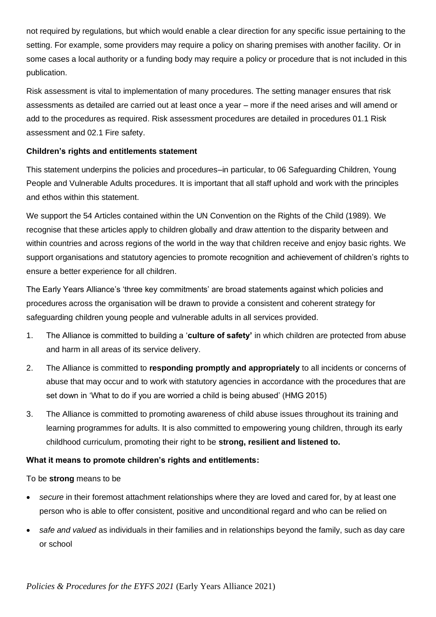not required by regulations, but which would enable a clear direction for any specific issue pertaining to the setting. For example, some providers may require a policy on sharing premises with another facility. Or in some cases a local authority or a funding body may require a policy or procedure that is not included in this publication.

Risk assessment is vital to implementation of many procedures. The setting manager ensures that risk assessments as detailed are carried out at least once a year – more if the need arises and will amend or add to the procedures as required. Risk assessment procedures are detailed in procedures 01.1 Risk assessment and 02.1 Fire safety.

# **Children's rights and entitlements statement**

This statement underpins the policies and procedures–in particular, to 06 Safeguarding Children, Young People and Vulnerable Adults procedures. It is important that all staff uphold and work with the principles and ethos within this statement.

We support the 54 Articles contained within the UN Convention on the Rights of the Child (1989). We recognise that these articles apply to children globally and draw attention to the disparity between and within countries and across regions of the world in the way that children receive and enjoy basic rights. We support organisations and statutory agencies to promote recognition and achievement of children's rights to ensure a better experience for all children.

The Early Years Alliance's 'three key commitments' are broad statements against which policies and procedures across the organisation will be drawn to provide a consistent and coherent strategy for safeguarding children young people and vulnerable adults in all services provided.

- 1. The Alliance is committed to building a '**culture of safety'** in which children are protected from abuse and harm in all areas of its service delivery.
- 2. The Alliance is committed to **responding promptly and appropriately** to all incidents or concerns of abuse that may occur and to work with statutory agencies in accordance with the procedures that are set down in 'What to do if you are worried a child is being abused' (HMG 2015)
- 3. The Alliance is committed to promoting awareness of child abuse issues throughout its training and learning programmes for adults. It is also committed to empowering young children, through its early childhood curriculum, promoting their right to be **strong, resilient and listened to.**

# **What it means to promote children's rights and entitlements:**

To be **strong** means to be

- *secure* in their foremost attachment relationships where they are loved and cared for, by at least one person who is able to offer consistent, positive and unconditional regard and who can be relied on
- *safe and valued* as individuals in their families and in relationships beyond the family, such as day care or school